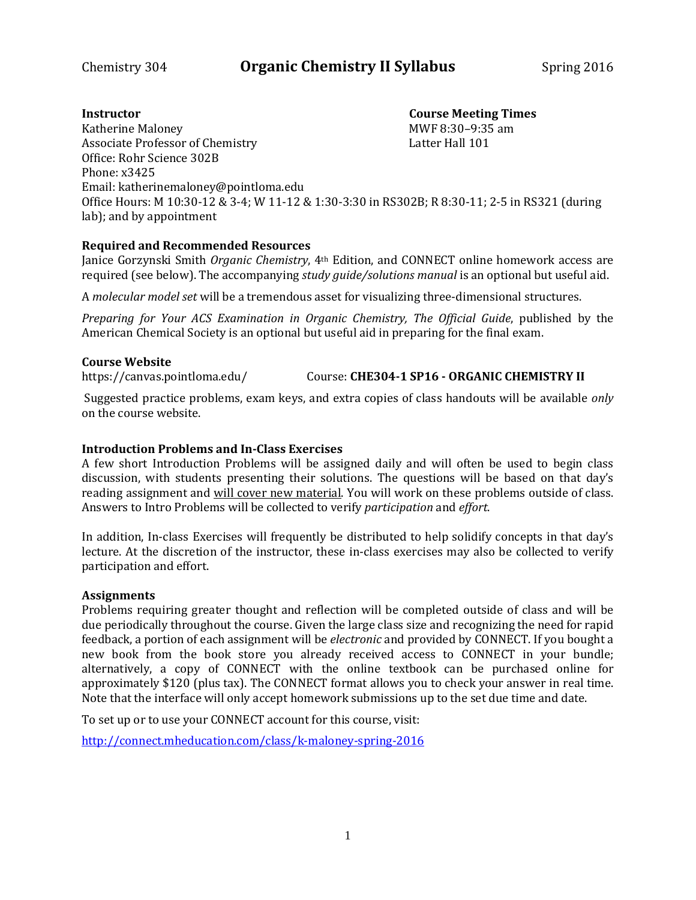# **Instructor Course Meeting Times**

Katherine Maloney<br>
Associate Professor of Chemistry<br>
Associate Professor of Chemistry<br>
MWF 8:30–9:35 am Associate Professor of Chemistry Office: Rohr Science 302B Phone: x3425 Email: katherinemaloney@pointloma.edu Office Hours: M 10:30-12 & 3-4; W 11-12 & 1:30-3:30 in RS302B; R 8:30-11; 2-5 in RS321 (during lab); and by appointment

## **Required and Recommended Resources**

Janice Gorzynski Smith *Organic Chemistry*, 4th Edition, and CONNECT online homework access are required (see below). The accompanying *study guide/solutions manual* is an optional but useful aid.

A *molecular model set* will be a tremendous asset for visualizing three-dimensional structures.

*Preparing for Your ACS Examination in Organic Chemistry, The Official Guide*, published by the American Chemical Society is an optional but useful aid in preparing for the final exam.

## **Course Website**

https://canvas.pointloma.edu/ Course: **CHE304-1 SP16 - ORGANIC CHEMISTRY II**

Suggested practice problems, exam keys, and extra copies of class handouts will be available *only*  on the course website.

### **Introduction Problems and In-Class Exercises**

A few short Introduction Problems will be assigned daily and will often be used to begin class discussion, with students presenting their solutions. The questions will be based on that day's reading assignment and will cover new material. You will work on these problems outside of class. Answers to Intro Problems will be collected to verify *participation* and *effort*.

In addition, In-class Exercises will frequently be distributed to help solidify concepts in that day's lecture. At the discretion of the instructor, these in-class exercises may also be collected to verify participation and effort.

### **Assignments**

Problems requiring greater thought and reflection will be completed outside of class and will be due periodically throughout the course. Given the large class size and recognizing the need for rapid feedback, a portion of each assignment will be *electronic* and provided by CONNECT. If you bought a new book from the book store you already received access to CONNECT in your bundle; alternatively, a copy of CONNECT with the online textbook can be purchased online for approximately \$120 (plus tax). The CONNECT format allows you to check your answer in real time. Note that the interface will only accept homework submissions up to the set due time and date.

To set up or to use your CONNECT account for this course, visit:

<http://connect.mheducation.com/class/k-maloney-spring-2016>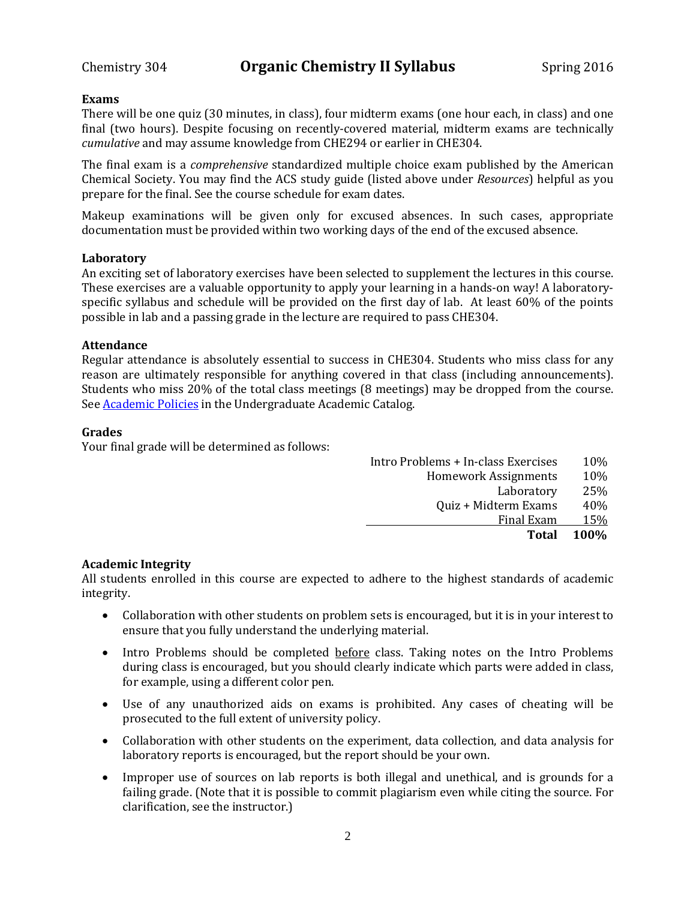#### **Exams**

There will be one quiz (30 minutes, in class), four midterm exams (one hour each, in class) and one final (two hours). Despite focusing on recently-covered material, midterm exams are technically *cumulative* and may assume knowledge from CHE294 or earlier in CHE304.

The final exam is a *comprehensive* standardized multiple choice exam published by the American Chemical Society. You may find the ACS study guide (listed above under *Resources*) helpful as you prepare for the final. See the course schedule for exam dates.

Makeup examinations will be given only for excused absences. In such cases, appropriate documentation must be provided within two working days of the end of the excused absence.

#### **Laboratory**

An exciting set of laboratory exercises have been selected to supplement the lectures in this course. These exercises are a valuable opportunity to apply your learning in a hands-on way! A laboratoryspecific syllabus and schedule will be provided on the first day of lab. At least 60% of the points possible in lab and a passing grade in the lecture are required to pass CHE304.

#### **Attendance**

Regular attendance is absolutely essential to success in CHE304. Students who miss class for any reason are ultimately responsible for anything covered in that class (including announcements). Students who miss 20% of the total class meetings (8 meetings) may be dropped from the course. Se[e Academic Policies](http://catalog.pointloma.edu/content.php?catoid=18&navoid=1278) in the Undergraduate Academic Catalog.

#### **Grades**

Your final grade will be determined as follows:

| <b>Homework Assignments</b>        | 10%         |
|------------------------------------|-------------|
| Laboratory<br>Quiz + Midterm Exams | 25%<br>40%  |
| Final Exam                         | 15%         |
| Total                              | <b>100%</b> |

### **Academic Integrity**

All students enrolled in this course are expected to adhere to the highest standards of academic integrity.

- Collaboration with other students on problem sets is encouraged, but it is in your interest to ensure that you fully understand the underlying material.
- Intro Problems should be completed before class. Taking notes on the Intro Problems during class is encouraged, but you should clearly indicate which parts were added in class, for example, using a different color pen.
- Use of any unauthorized aids on exams is prohibited. Any cases of cheating will be prosecuted to the full extent of university policy.
- Collaboration with other students on the experiment, data collection, and data analysis for laboratory reports is encouraged, but the report should be your own.
- Improper use of sources on lab reports is both illegal and unethical, and is grounds for a failing grade. (Note that it is possible to commit plagiarism even while citing the source. For clarification, see the instructor.)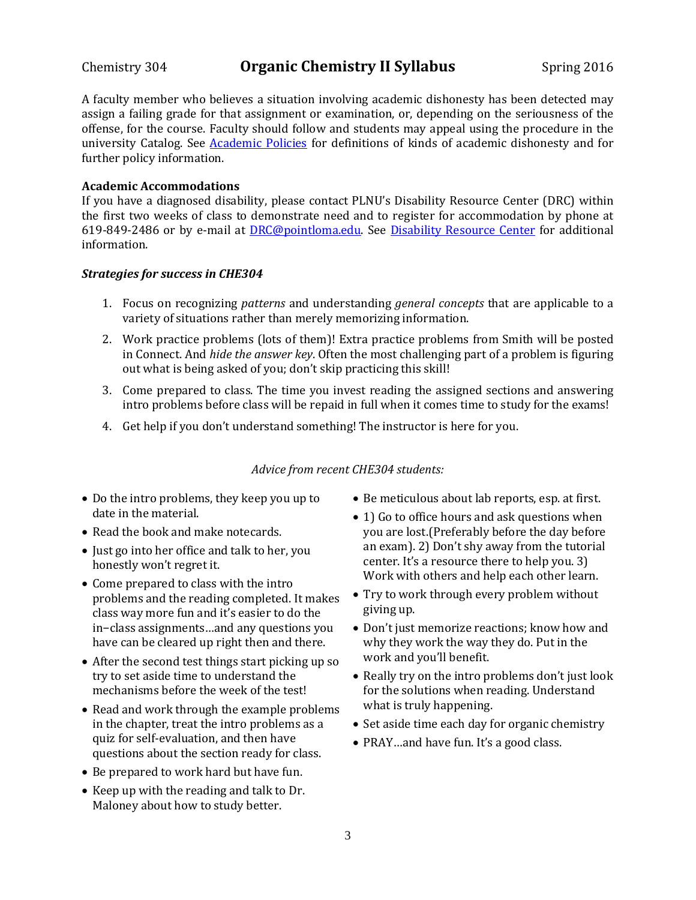## Chemistry 304 **Organic Chemistry II Syllabus** Spring 2016

A faculty member who believes a situation involving academic dishonesty has been detected may assign a failing grade for that assignment or examination, or, depending on the seriousness of the offense, for the course. Faculty should follow and students may appeal using the procedure in the university Catalog. See **Academic Policies** for definitions of kinds of academic dishonesty and for further policy information.

#### **Academic Accommodations**

If you have a diagnosed disability, please contact PLNU's Disability Resource Center (DRC) within the first two weeks of class to demonstrate need and to register for accommodation by phone at 619-849-2486 or by e-mail at [DRC@pointloma.edu.](mailto:DRC@pointloma.edu) See [Disability Resource Center](http://www.pointloma.edu/experience/offices/administrative-offices/academic-advising-office/disability-resource-center) for additional information.

#### *Strategies for success in CHE304*

- 1. Focus on recognizing *patterns* and understanding *general concepts* that are applicable to a variety of situations rather than merely memorizing information.
- 2. Work practice problems (lots of them)! Extra practice problems from Smith will be posted in Connect. And *hide the answer key*. Often the most challenging part of a problem is figuring out what is being asked of you; don't skip practicing this skill!
- 3. Come prepared to class. The time you invest reading the assigned sections and answering intro problems before class will be repaid in full when it comes time to study for the exams!
- 4. Get help if you don't understand something! The instructor is here for you.

#### *Advice from recent CHE304 students:*

- Do the intro problems, they keep you up to date in the material.
- Read the book and make notecards.
- Just go into her office and talk to her, you honestly won't regret it.
- Come prepared to class with the intro problems and the reading completed. It makes class way more fun and it's easier to do the in−class assignments…and any questions you have can be cleared up right then and there.
- After the second test things start picking up so try to set aside time to understand the mechanisms before the week of the test!
- Read and work through the example problems in the chapter, treat the intro problems as a quiz for self-evaluation, and then have questions about the section ready for class.
- Be prepared to work hard but have fun.
- Keep up with the reading and talk to Dr. Maloney about how to study better.
- Be meticulous about lab reports, esp. at first.
- 1) Go to office hours and ask questions when you are lost.(Preferably before the day before an exam). 2) Don't shy away from the tutorial center. It's a resource there to help you. 3) Work with others and help each other learn.
- Try to work through every problem without giving up.
- Don't just memorize reactions; know how and why they work the way they do. Put in the work and you'll benefit.
- Really try on the intro problems don't just look for the solutions when reading. Understand what is truly happening.
- Set aside time each day for organic chemistry
- PRAY ... and have fun. It's a good class.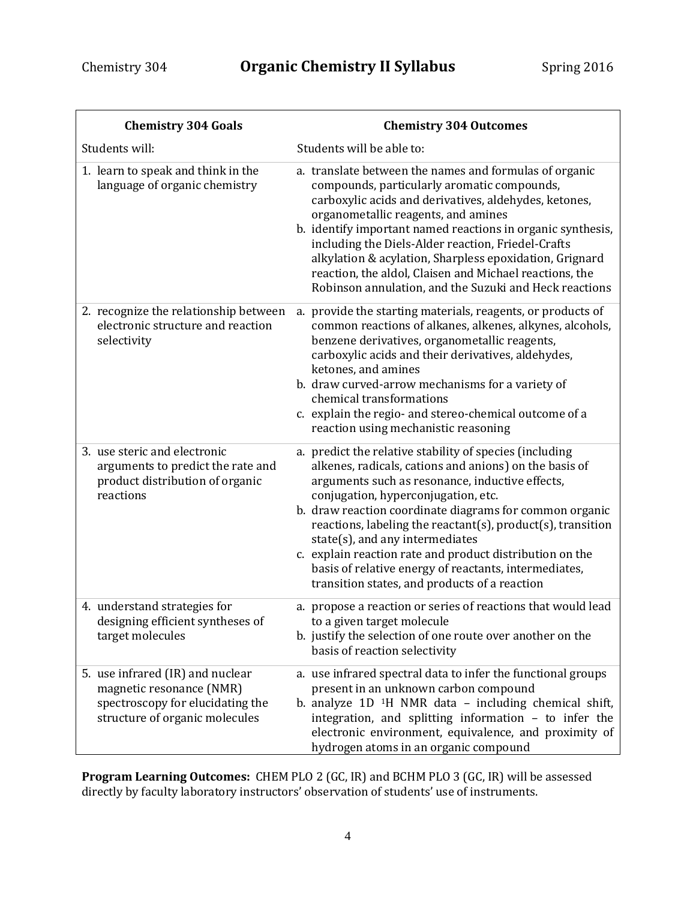| <b>Chemistry 304 Goals</b>                                                                                                         | <b>Chemistry 304 Outcomes</b>                                                                                                                                                                                                                                                                                                                                                                                                                                                                                                                  |
|------------------------------------------------------------------------------------------------------------------------------------|------------------------------------------------------------------------------------------------------------------------------------------------------------------------------------------------------------------------------------------------------------------------------------------------------------------------------------------------------------------------------------------------------------------------------------------------------------------------------------------------------------------------------------------------|
| Students will:                                                                                                                     | Students will be able to:                                                                                                                                                                                                                                                                                                                                                                                                                                                                                                                      |
| 1. learn to speak and think in the<br>language of organic chemistry                                                                | a. translate between the names and formulas of organic<br>compounds, particularly aromatic compounds,<br>carboxylic acids and derivatives, aldehydes, ketones,<br>organometallic reagents, and amines<br>b. identify important named reactions in organic synthesis,<br>including the Diels-Alder reaction, Friedel-Crafts<br>alkylation & acylation, Sharpless epoxidation, Grignard<br>reaction, the aldol, Claisen and Michael reactions, the<br>Robinson annulation, and the Suzuki and Heck reactions                                     |
| 2. recognize the relationship between<br>electronic structure and reaction<br>selectivity                                          | a. provide the starting materials, reagents, or products of<br>common reactions of alkanes, alkenes, alkynes, alcohols,<br>benzene derivatives, organometallic reagents,<br>carboxylic acids and their derivatives, aldehydes,<br>ketones, and amines<br>b. draw curved-arrow mechanisms for a variety of<br>chemical transformations<br>c. explain the regio- and stereo-chemical outcome of a<br>reaction using mechanistic reasoning                                                                                                        |
| 3. use steric and electronic<br>arguments to predict the rate and<br>product distribution of organic<br>reactions                  | a. predict the relative stability of species (including<br>alkenes, radicals, cations and anions) on the basis of<br>arguments such as resonance, inductive effects,<br>conjugation, hyperconjugation, etc.<br>b. draw reaction coordinate diagrams for common organic<br>reactions, labeling the reactant(s), product(s), transition<br>state(s), and any intermediates<br>c. explain reaction rate and product distribution on the<br>basis of relative energy of reactants, intermediates,<br>transition states, and products of a reaction |
| 4. understand strategies for<br>designing efficient syntheses of<br>target molecules                                               | a. propose a reaction or series of reactions that would lead<br>to a given target molecule<br>b. justify the selection of one route over another on the<br>basis of reaction selectivity                                                                                                                                                                                                                                                                                                                                                       |
| 5. use infrared (IR) and nuclear<br>magnetic resonance (NMR)<br>spectroscopy for elucidating the<br>structure of organic molecules | a. use infrared spectral data to infer the functional groups<br>present in an unknown carbon compound<br>b. analyze $1D$ <sup>1</sup> H NMR data - including chemical shift,<br>integration, and splitting information - to infer the<br>electronic environment, equivalence, and proximity of<br>hydrogen atoms in an organic compound                                                                                                                                                                                                        |

**Program Learning Outcomes:** CHEM PLO 2 (GC, IR) and BCHM PLO 3 (GC, IR) will be assessed directly by faculty laboratory instructors' observation of students' use of instruments.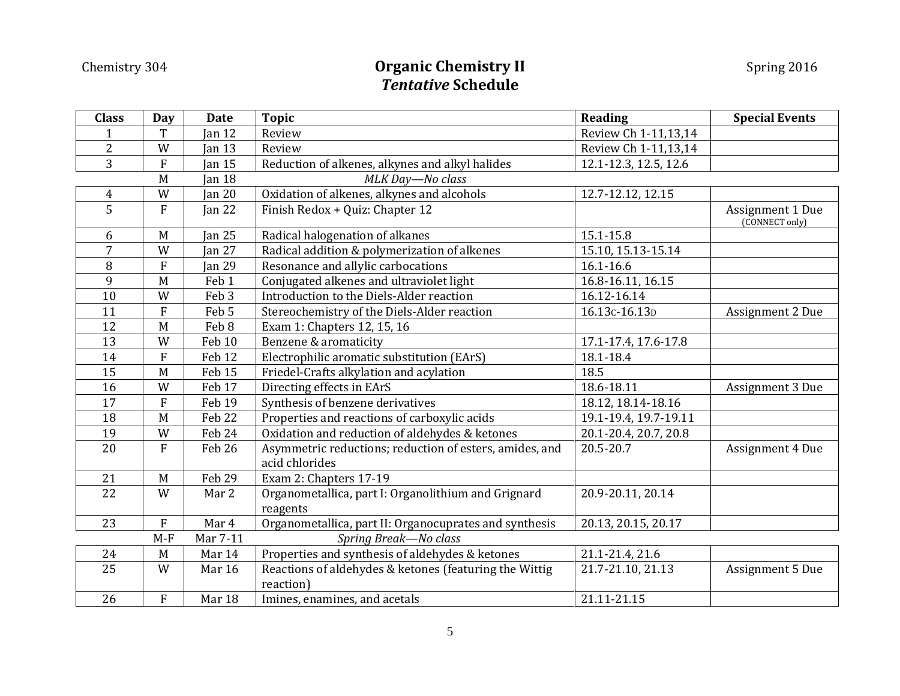# Chemistry 304 **Chemistry II Chemistry II** Spring 2016 *Tentative* **Schedule**

| <b>Class</b>            | <b>Day</b>                | <b>Date</b>       | <b>Topic</b>                                                              | <b>Reading</b>        | <b>Special Events</b>              |
|-------------------------|---------------------------|-------------------|---------------------------------------------------------------------------|-----------------------|------------------------------------|
| 1                       | T                         | $\tan 12$         | Review                                                                    | Review Ch 1-11,13,14  |                                    |
| $\overline{c}$          | W                         | Jan $13$          | Review                                                                    | Review Ch 1-11,13,14  |                                    |
| $\overline{3}$          | ${\bf F}$                 | $\tan 15$         | Reduction of alkenes, alkynes and alkyl halides                           | 12.1-12.3, 12.5, 12.6 |                                    |
|                         | M                         | $\tan 18$         | MLK Day-No class                                                          |                       |                                    |
| $\overline{\mathbf{4}}$ | W                         | Jan $20$          | Oxidation of alkenes, alkynes and alcohols                                | 12.7-12.12, 12.15     |                                    |
| $\overline{5}$          | $\mathbf{F}$              | Jan $22$          | Finish Redox + Quiz: Chapter 12                                           |                       | Assignment 1 Due<br>(CONNECT only) |
| 6                       | M                         | $\tan 25$         | Radical halogenation of alkanes                                           | 15.1-15.8             |                                    |
| 7                       | W                         | <b>Jan 27</b>     | Radical addition & polymerization of alkenes                              | 15.10, 15.13-15.14    |                                    |
| 8                       | $\boldsymbol{\mathrm{F}}$ | Jan 29            | Resonance and allylic carbocations                                        | $16.1 - 16.6$         |                                    |
| 9                       | M                         | Feb <sub>1</sub>  | Conjugated alkenes and ultraviolet light                                  | 16.8-16.11, 16.15     |                                    |
| 10                      | W                         | Feb <sub>3</sub>  | Introduction to the Diels-Alder reaction                                  | 16.12-16.14           |                                    |
| 11                      | ${\bf F}$                 | Feb 5             | Stereochemistry of the Diels-Alder reaction                               | 16.13c-16.13D         | Assignment 2 Due                   |
| 12                      | M                         | Feb 8             | Exam 1: Chapters 12, 15, 16                                               |                       |                                    |
| 13                      | W                         | Feb 10            | Benzene & aromaticity                                                     | 17.1-17.4, 17.6-17.8  |                                    |
| 14                      | ${\bf F}$                 | Feb <sub>12</sub> | Electrophilic aromatic substitution (EArS)                                | 18.1-18.4             |                                    |
| 15                      | M                         | Feb 15            | Friedel-Crafts alkylation and acylation                                   | 18.5                  |                                    |
| 16                      | W                         | Feb 17            | Directing effects in EArS                                                 | 18.6-18.11            | Assignment 3 Due                   |
| 17                      | $\overline{F}$            | Feb 19            | Synthesis of benzene derivatives                                          | 18.12, 18.14-18.16    |                                    |
| 18                      | M                         | Feb 22            | Properties and reactions of carboxylic acids                              | 19.1-19.4, 19.7-19.11 |                                    |
| 19                      | W                         | Feb 24            | Oxidation and reduction of aldehydes & ketones                            | 20.1-20.4, 20.7, 20.8 |                                    |
| 20                      | $\overline{F}$            | Feb 26            | Asymmetric reductions; reduction of esters, amides, and<br>acid chlorides | 20.5-20.7             | Assignment 4 Due                   |
| 21                      | M                         | Feb 29            | Exam 2: Chapters 17-19                                                    |                       |                                    |
| 22                      | W                         | Mar 2             | Organometallica, part I: Organolithium and Grignard<br>reagents           | 20.9-20.11, 20.14     |                                    |
| 23                      | $\boldsymbol{\mathrm{F}}$ | Mar 4             | Organometallica, part II: Organocuprates and synthesis                    | 20.13, 20.15, 20.17   |                                    |
|                         | $M-F$                     | Mar 7-11          | Spring Break-No class                                                     |                       |                                    |
| 24                      | $\mathbf M$               | Mar 14            | Properties and synthesis of aldehydes & ketones                           | 21.1-21.4, 21.6       |                                    |
| 25                      | W                         | Mar 16            | Reactions of aldehydes & ketones (featuring the Wittig<br>reaction)       | 21.7-21.10, 21.13     | Assignment 5 Due                   |
| 26                      | ${\bf F}$                 | Mar 18            | Imines, enamines, and acetals                                             | 21.11-21.15           |                                    |